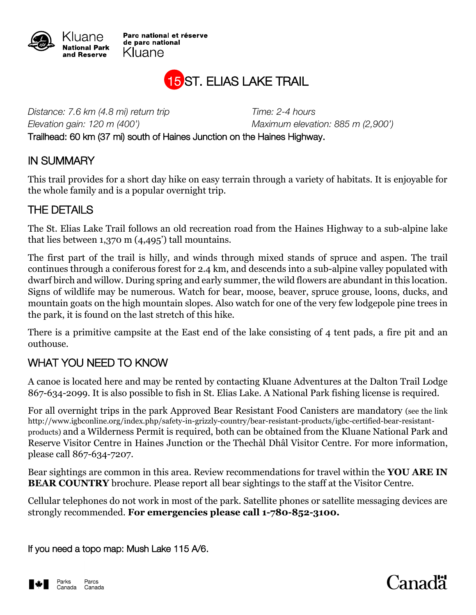

Parc national et réserve de parc national Kluane



*Distance: 7.6 km (4.8 mi) return trip Time: 2-4 hours Elevation gain: 120 m (400') Maximum elevation: 885 m (2,900')* Trailhead: 60 km (37 mi) south of Haines Junction on the Haines Highway.

## IN SUMMARY

This trail provides for a short day hike on easy terrain through a variety of habitats. It is enjoyable for the whole family and is a popular overnight trip.

## THE DETAILS

The St. Elias Lake Trail follows an old recreation road from the Haines Highway to a sub-alpine lake that lies between 1,370 m (4,495') tall mountains.

The first part of the trail is hilly, and winds through mixed stands of spruce and aspen. The trail continues through a coniferous forest for 2.4 km, and descends into a sub-alpine valley populated with dwarf birch and willow. During spring and early summer, the wild flowers are abundant in this location. Signs of wildlife may be numerous. Watch for bear, moose, beaver, spruce grouse, loons, ducks, and mountain goats on the high mountain slopes. Also watch for one of the very few lodgepole pine trees in the park, it is found on the last stretch of this hike.

There is a primitive campsite at the East end of the lake consisting of 4 tent pads, a fire pit and an outhouse.

## WHAT YOU NEED TO KNOW

A canoe is located here and may be rented by contacting Kluane Adventures at the Dalton Trail Lodge 867-634-2099. It is also possible to fish in St. Elias Lake. A National Park fishing license is required.

For all overnight trips in the park Approved Bear Resistant Food Canisters are mandatory (see the link http://www.igbconline.org/index.php/safety-in-grizzly-country/bear-resistant-products/igbc-certified-bear-resistantproducts) and a Wilderness Permit is required, both can be obtained from the Kluane National Park and Reserve Visitor Centre in Haines Junction or the Thechàl Dhâl Visitor Centre. For more information, please call 867-634-7207.

Bear sightings are common in this area. Review recommendations for travel within the **YOU ARE IN BEAR COUNTRY** brochure. Please report all bear sightings to the staff at the Visitor Centre.

Cellular telephones do not work in most of the park. Satellite phones or satellite messaging devices are strongly recommended. **For emergencies please call 1-780-852-3100.**

If you need a topo map: Mush Lake 115 A/6.